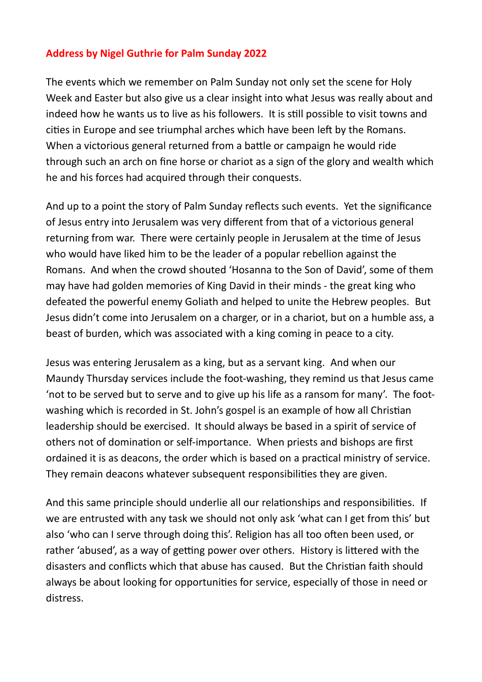## **Address by Nigel Guthrie for Palm Sunday 2022**

The events which we remember on Palm Sunday not only set the scene for Holy Week and Easter but also give us a clear insight into what Jesus was really about and indeed how he wants us to live as his followers. It is still possible to visit towns and cities in Europe and see triumphal arches which have been left by the Romans. When a victorious general returned from a battle or campaign he would ride through such an arch on fine horse or chariot as a sign of the glory and wealth which he and his forces had acquired through their conquests.

And up to a point the story of Palm Sunday reflects such events. Yet the significance of Jesus entry into Jerusalem was very different from that of a victorious general returning from war. There were certainly people in Jerusalem at the time of Jesus who would have liked him to be the leader of a popular rebellion against the Romans. And when the crowd shouted 'Hosanna to the Son of David', some of them may have had golden memories of King David in their minds - the great king who defeated the powerful enemy Goliath and helped to unite the Hebrew peoples. But Jesus didn't come into Jerusalem on a charger, or in a chariot, but on a humble ass, a beast of burden, which was associated with a king coming in peace to a city.

Jesus was entering Jerusalem as a king, but as a servant king. And when our Maundy Thursday services include the foot-washing, they remind us that Jesus came 'not to be served but to serve and to give up his life as a ransom for many'. The footwashing which is recorded in St. John's gospel is an example of how all Christian leadership should be exercised. It should always be based in a spirit of service of others not of domination or self-importance. When priests and bishops are first ordained it is as deacons, the order which is based on a practical ministry of service. They remain deacons whatever subsequent responsibilities they are given.

And this same principle should underlie all our relationships and responsibilities. If we are entrusted with any task we should not only ask 'what can I get from this' but also 'who can I serve through doing this'. Religion has all too often been used, or rather 'abused', as a way of getting power over others. History is littered with the disasters and conflicts which that abuse has caused. But the Christian faith should always be about looking for opportunities for service, especially of those in need or distress.